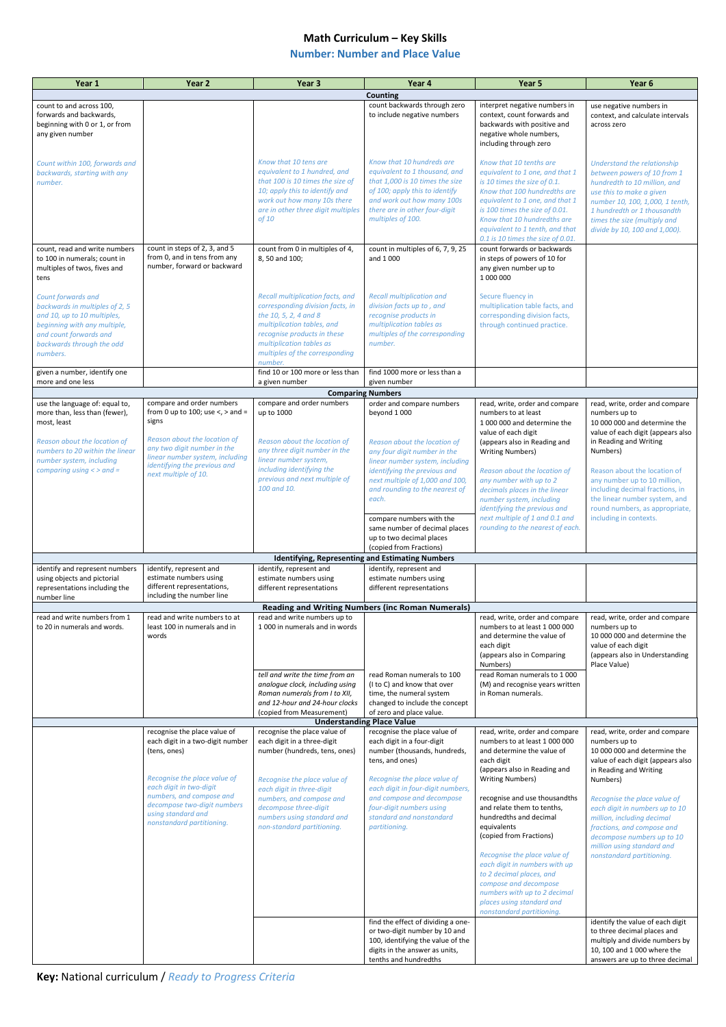## **Math Curriculum – Key Skills**

## **Number: Number and Place Value**

**Key:** National curriculum / *Ready to Progress Criteria*

| Year 1                                                                                | Year <sub>2</sub>                                             | Year 3                                                             | Year 4                                                              | Year 5                                                                                      | Year 6                                                                     |
|---------------------------------------------------------------------------------------|---------------------------------------------------------------|--------------------------------------------------------------------|---------------------------------------------------------------------|---------------------------------------------------------------------------------------------|----------------------------------------------------------------------------|
|                                                                                       |                                                               |                                                                    | Counting                                                            |                                                                                             |                                                                            |
| count to and across 100,<br>forwards and backwards,<br>beginning with 0 or 1, or from |                                                               |                                                                    | count backwards through zero<br>to include negative numbers         | interpret negative numbers in<br>context, count forwards and<br>backwards with positive and | use negative numbers in<br>context, and calculate intervals<br>across zero |
| any given number                                                                      |                                                               |                                                                    |                                                                     | negative whole numbers,<br>including through zero                                           |                                                                            |
| Count within 100, forwards and                                                        |                                                               | Know that 10 tens are                                              | Know that 10 hundreds are                                           | Know that 10 tenths are                                                                     | Understand the relationship                                                |
| backwards, starting with any                                                          |                                                               | equivalent to 1 hundred, and                                       | equivalent to 1 thousand, and                                       | equivalent to 1 one, and that 1                                                             | between powers of 10 from 1                                                |
| number.                                                                               |                                                               | that 100 is 10 times the size of                                   | that 1,000 is 10 times the size                                     | is 10 times the size of 0.1.                                                                | hundredth to 10 million, and                                               |
|                                                                                       |                                                               | 10; apply this to identify and<br>work out how many 10s there      | of 100; apply this to identify                                      | Know that 100 hundredths are                                                                | use this to make a given                                                   |
|                                                                                       |                                                               | are in other three digit multiples                                 | and work out how many 100s<br>there are in other four-digit         | equivalent to 1 one, and that 1<br>is 100 times the size of 0.01.                           | number 10, 100, 1,000, 1 tenth,<br>1 hundredth or 1 thousandth             |
|                                                                                       |                                                               | of 10                                                              | multiples of 100.                                                   | Know that 10 hundredths are                                                                 | times the size (multiply and                                               |
|                                                                                       |                                                               |                                                                    |                                                                     | equivalent to 1 tenth, and that                                                             | divide by 10, 100 and 1,000).                                              |
|                                                                                       |                                                               |                                                                    |                                                                     | 0.1 is 10 times the size of 0.01.                                                           |                                                                            |
| count, read and write numbers<br>to 100 in numerals; count in                         | count in steps of 2, 3, and 5<br>from 0, and in tens from any | count from 0 in multiples of 4,<br>8, 50 and 100;                  | count in multiples of 6, 7, 9, 25<br>and 1 000                      | count forwards or backwards<br>in steps of powers of 10 for                                 |                                                                            |
| multiples of twos, fives and                                                          | number, forward or backward                                   |                                                                    |                                                                     | any given number up to                                                                      |                                                                            |
| tens                                                                                  |                                                               |                                                                    |                                                                     | 1 000 000                                                                                   |                                                                            |
|                                                                                       |                                                               | <b>Recall multiplication facts, and</b>                            | <b>Recall multiplication and</b>                                    | Secure fluency in                                                                           |                                                                            |
| Count forwards and<br>backwards in multiples of 2, 5                                  |                                                               | corresponding division facts, in                                   | division facts up to, and                                           | multiplication table facts, and                                                             |                                                                            |
| and 10, up to 10 multiples,                                                           |                                                               | the 10, 5, 2, 4 and 8                                              | recognise products in                                               | corresponding division facts,                                                               |                                                                            |
| beginning with any multiple,                                                          |                                                               | multiplication tables, and                                         | multiplication tables as                                            | through continued practice.                                                                 |                                                                            |
| and count forwards and                                                                |                                                               | recognise products in these                                        | multiples of the corresponding                                      |                                                                                             |                                                                            |
| backwards through the odd<br>numbers.                                                 |                                                               | multiplication tables as<br>multiples of the corresponding         | number.                                                             |                                                                                             |                                                                            |
|                                                                                       |                                                               | number.                                                            |                                                                     |                                                                                             |                                                                            |
| given a number, identify one                                                          |                                                               | find 10 or 100 more or less than                                   | find 1000 more or less than a                                       |                                                                                             |                                                                            |
| more and one less                                                                     |                                                               | a given number                                                     | given number                                                        |                                                                                             |                                                                            |
| use the language of: equal to,                                                        | compare and order numbers                                     | compare and order numbers                                          | <b>Comparing Numbers</b><br>order and compare numbers               | read, write, order and compare                                                              | read, write, order and compare                                             |
| more than, less than (fewer),                                                         | from 0 up to 100; use $\lt$ , $>$ and =                       | up to 1000                                                         | beyond 1000                                                         | numbers to at least                                                                         | numbers up to                                                              |
| most, least                                                                           | signs                                                         |                                                                    |                                                                     | 1 000 000 and determine the                                                                 | 10 000 000 and determine the                                               |
|                                                                                       | Reason about the location of                                  | Reason about the location of                                       |                                                                     | value of each digit                                                                         | value of each digit (appears also<br>in Reading and Writing                |
| Reason about the location of<br>numbers to 20 within the linear                       | any two digit number in the                                   | any three digit number in the                                      | Reason about the location of<br>any four digit number in the        | (appears also in Reading and<br><b>Writing Numbers)</b>                                     | Numbers)                                                                   |
| number system, including                                                              | linear number system, including                               | linear number system,                                              | linear number system, including                                     |                                                                                             |                                                                            |
| comparing using $\lt$ > and =                                                         | identifying the previous and<br>next multiple of 10.          | including identifying the                                          | identifying the previous and                                        | Reason about the location of                                                                | Reason about the location of                                               |
|                                                                                       |                                                               | previous and next multiple of<br>100 and 10.                       | next multiple of 1,000 and 100,                                     | any number with up to 2                                                                     | any number up to 10 million,                                               |
|                                                                                       |                                                               |                                                                    | and rounding to the nearest of<br>each.                             | decimals places in the linear<br>number system, including                                   | including decimal fractions, in<br>the linear number system, and           |
|                                                                                       |                                                               |                                                                    |                                                                     | identifying the previous and                                                                | round numbers, as appropriate,                                             |
|                                                                                       |                                                               |                                                                    | compare numbers with the                                            | next multiple of 1 and 0.1 and                                                              | including in contexts.                                                     |
|                                                                                       |                                                               |                                                                    | same number of decimal places                                       | rounding to the nearest of each.                                                            |                                                                            |
|                                                                                       |                                                               |                                                                    | up to two decimal places<br>(copied from Fractions)                 |                                                                                             |                                                                            |
|                                                                                       |                                                               |                                                                    | <b>Identifying, Representing and Estimating Numbers</b>             |                                                                                             |                                                                            |
| identify and represent numbers                                                        | identify, represent and                                       | identify, represent and                                            | identify, represent and                                             |                                                                                             |                                                                            |
| using objects and pictorial                                                           | estimate numbers using<br>different representations,          | estimate numbers using<br>different representations                | estimate numbers using<br>different representations                 |                                                                                             |                                                                            |
| representations including the<br>number line                                          | including the number line                                     |                                                                    |                                                                     |                                                                                             |                                                                            |
|                                                                                       |                                                               |                                                                    | <b>Reading and Writing Numbers (inc Roman Numerals)</b>             |                                                                                             |                                                                            |
| read and write numbers from 1                                                         | read and write numbers to at                                  | read and write numbers up to                                       |                                                                     | read, write, order and compare                                                              | read, write, order and compare                                             |
| to 20 in numerals and words.                                                          | least 100 in numerals and in<br>words                         | 1 000 in numerals and in words                                     |                                                                     | numbers to at least 1 000 000<br>and determine the value of                                 | numbers up to<br>10 000 000 and determine the                              |
|                                                                                       |                                                               |                                                                    |                                                                     | each digit                                                                                  | value of each digit                                                        |
|                                                                                       |                                                               |                                                                    |                                                                     | (appears also in Comparing                                                                  | (appears also in Understanding                                             |
|                                                                                       |                                                               |                                                                    |                                                                     | Numbers)                                                                                    | Place Value)                                                               |
|                                                                                       |                                                               | tell and write the time from an<br>analogue clock, including using | read Roman numerals to 100<br>(I to C) and know that over           | read Roman numerals to 1 000<br>(M) and recognise years written                             |                                                                            |
|                                                                                       |                                                               | Roman numerals from I to XII,                                      | time, the numeral system                                            | in Roman numerals.                                                                          |                                                                            |
|                                                                                       |                                                               | and 12-hour and 24-hour clocks                                     | changed to include the concept                                      |                                                                                             |                                                                            |
|                                                                                       |                                                               | (copied from Measurement)                                          | of zero and place value.<br><b>Understanding Place Value</b>        |                                                                                             |                                                                            |
|                                                                                       | recognise the place value of                                  | recognise the place value of                                       | recognise the place value of                                        | read, write, order and compare                                                              | read, write, order and compare                                             |
|                                                                                       | each digit in a two-digit number                              | each digit in a three-digit                                        | each digit in a four-digit                                          | numbers to at least 1 000 000                                                               | numbers up to                                                              |
|                                                                                       | (tens, ones)                                                  | number (hundreds, tens, ones)                                      | number (thousands, hundreds,                                        | and determine the value of                                                                  | 10 000 000 and determine the                                               |
|                                                                                       |                                                               |                                                                    | tens, and ones)                                                     | each digit<br>(appears also in Reading and                                                  | value of each digit (appears also<br>in Reading and Writing                |
|                                                                                       | Recognise the place value of                                  | Recognise the place value of                                       | Recognise the place value of                                        | <b>Writing Numbers)</b>                                                                     | Numbers)                                                                   |
|                                                                                       | each digit in two-digit                                       | each digit in three-digit                                          | each digit in four-digit numbers,                                   |                                                                                             |                                                                            |
|                                                                                       | numbers, and compose and<br>decompose two-digit numbers       | numbers, and compose and                                           | and compose and decompose                                           | recognise and use thousandths                                                               | Recognise the place value of                                               |
|                                                                                       | using standard and                                            | decompose three-digit<br>numbers using standard and                | four-digit numbers using<br>standard and nonstandard                | and relate them to tenths,<br>hundredths and decimal                                        | each digit in numbers up to 10<br>million, including decimal               |
|                                                                                       | nonstandard partitioning.                                     | non-standard partitioning.                                         | partitioning.                                                       | equivalents                                                                                 | fractions, and compose and                                                 |
|                                                                                       |                                                               |                                                                    |                                                                     | (copied from Fractions)                                                                     | decompose numbers up to 10                                                 |
|                                                                                       |                                                               |                                                                    |                                                                     |                                                                                             | million using standard and                                                 |
|                                                                                       |                                                               |                                                                    |                                                                     | Recognise the place value of<br>each digit in numbers with up                               | nonstandard partitioning.                                                  |
|                                                                                       |                                                               |                                                                    |                                                                     | to 2 decimal places, and                                                                    |                                                                            |
|                                                                                       |                                                               |                                                                    |                                                                     | compose and decompose                                                                       |                                                                            |
|                                                                                       |                                                               |                                                                    |                                                                     | numbers with up to 2 decimal                                                                |                                                                            |
|                                                                                       |                                                               |                                                                    |                                                                     | places using standard and<br>nonstandard partitioning.                                      |                                                                            |
|                                                                                       |                                                               |                                                                    | find the effect of dividing a one-                                  |                                                                                             | identify the value of each digit                                           |
|                                                                                       |                                                               |                                                                    | or two-digit number by 10 and                                       |                                                                                             | to three decimal places and                                                |
|                                                                                       |                                                               |                                                                    | 100, identifying the value of the<br>digits in the answer as units, |                                                                                             | multiply and divide numbers by<br>10, 100 and 1 000 where the              |
|                                                                                       |                                                               |                                                                    | tenths and hundredths                                               |                                                                                             | answers are up to three decimal                                            |